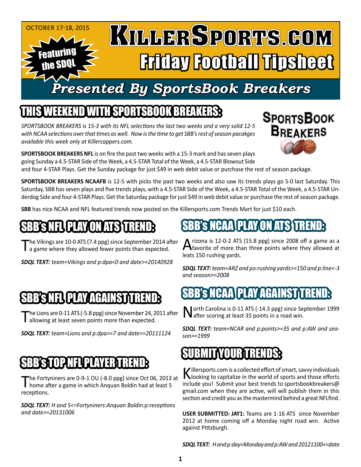#### October 17-18, 2015 KULLERSPORTS.GOM Featuring Friday Football Tipsheet the SDQL *Presented By SportsBook Breakers*

### SPORTSBOOK BREAKER

*SPORTSBOOK BREAKERS is 15-3 with its NFL selections the last two weeks and a very solid 12-5 with NCAA selections over that times as well. Now is the time to get SBB's rest of season pacakges available this week only at Killercappers.com.*

**SPORTSBOOK BREAKERS NFL** is on fire the past two weeks with a 15-3 mark and has seven plays going Sunday a 4.5-STAR Side of the Week, a 4.5-STAR Total of the Week, a 4.5-STAR Blowout Side

and four 4-STAR Plays. Get the Sunday package for just \$49 in web debit value or purchase the rest of season package.

**SPORTSBOOK BREAKERS NCAAFB** is 12-5 with picks the past two weeks and also saw its trends plays go 5-0 last Saturday. This Saturday, SBB has seven plays and five trends plays, with a 4.5-STAR Side of the Week, a 4.5-STAR Total of the Week, a 4.5-STAR Underdog Side and four 4-STAR Plays. Get the Saturday package for just \$49 in web debit value or purchase the rest of season package.

**SBB** has nice NCAA and NFL featured trends now posted on the Killersports.com Trends Mart for just \$10 each.

#### 'S NFLI PLAY ON ATS '

The Vikings are 10-0 ATS (7.4 ppg) since September 2014 after<br>
a game where they allowed fewer points than expected.

*SDQL TEXT: team=Vikings and p:dpa<0 and date>=20140928*

## 'NFLI PLAY AGAINST T

The Lions are 0-11 ATS (-5.8 ppg) since November 24, 2011 after<br>
allowing at least seven points more than expected.

*SDQL TEXT: team=Lions and p:dpa>=7 and date>=20111124*

## SER ENGIN

The Fortyniners are 0-9-1 OU (-8.0 ppg) since Oct 06, 2013 at<br>
home after a game in which Anquan Boldin had at least 5 receptions.

*SDQL TEXT: H and 5<=Fortyniners:Anquan Boldin:p:receptions and date>=20131006*

A rizona is 12-0-2 ATS (15.8 ppg) since 2008 off a game as a favorite of more than three points where they allowed at leats 150 rushing yards.

**SPORTSBOOK** 

**BREAKERS** 

SBB's NCAA PLAY ON ATS TREND:

*SDQL TEXT: team=ARZ and po:rushing yards>=150 and p:line<-3 and season>=2008*

### SBB's NCAA PLAY AGAINST TREND:

North Carolina is 0-11 ATS (-14.3 ppg) since September 1999 after scoring at least 35 points in a road win.

*SDQL TEXT: team=NCAR and p:points>=35 and p:AW and season>=1999*

#### SUBMITYOUBTERDS:

Killersports.com is a collected effort of smart, savvy individuals looking to capitalize in the world of sports and those efforts include you! Submit your best trends to sportsbookbreakers@ gmail.com when they are active, will will publish them in this section and credit you as the mastermind behind a great NFLfind.

**USER SUBMITTED: JAY1:** Teams are 1-16 ATS since November 2012 at home coming off a Monday night road win. Active against Pittsburgh.

*SDQL TEXT: H and p:day=Monday and p:AW and 20121100<=date*